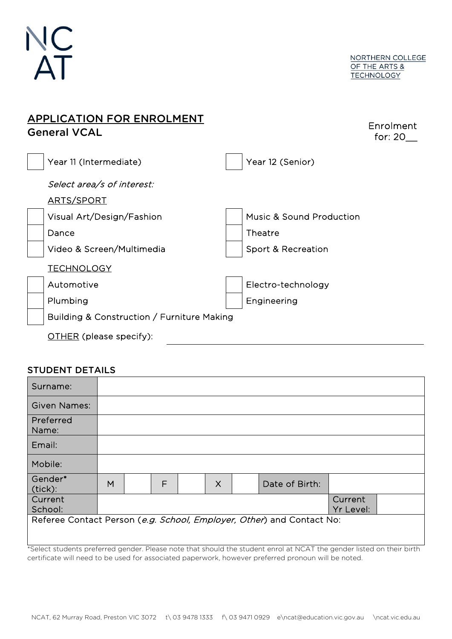

| <b>APPLICATION FOR ENROLMENT</b><br><b>General VCAL</b> | Enrolment<br>for: $20$              |
|---------------------------------------------------------|-------------------------------------|
| Year 11 (Intermediate)                                  | Year 12 (Senior)                    |
| Select area/s of interest:                              |                                     |
| ARTS/SPORT                                              |                                     |
| Visual Art/Design/Fashion                               | <b>Music &amp; Sound Production</b> |
| Dance                                                   | Theatre                             |
| Video & Screen/Multimedia                               | Sport & Recreation                  |
| <u>TECHNOLOGY</u>                                       |                                     |
| Automotive                                              | Electro-technology                  |
| Plumbing                                                | Engineering                         |
| Building & Construction / Furniture Making              |                                     |
| <b>OTHER</b> (please specify):                          |                                     |

## STUDENT DETAILS

| Surname:            |   |   |          |                                                                       |                      |  |
|---------------------|---|---|----------|-----------------------------------------------------------------------|----------------------|--|
| <b>Given Names:</b> |   |   |          |                                                                       |                      |  |
| Preferred<br>Name:  |   |   |          |                                                                       |                      |  |
| Email:              |   |   |          |                                                                       |                      |  |
| Mobile:             |   |   |          |                                                                       |                      |  |
| Gender*<br>(tick):  | M | F | $\times$ | Date of Birth:                                                        |                      |  |
| Current<br>School:  |   |   |          |                                                                       | Current<br>Yr Level: |  |
|                     |   |   |          | Referee Contact Person (e.g. School, Employer, Other) and Contact No: |                      |  |

\*Select students preferred gender. Please note that should the student enrol at NCAT the gender listed on their birth certificate will need to be used for associated paperwork, however preferred pronoun will be noted.